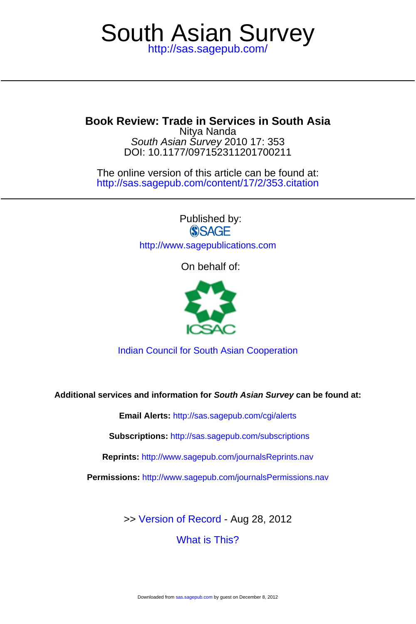## <http://sas.sagepub.com/> South Asian Survey

**Book Review: Trade in Services in South Asia**

DOI: 10.1177/097152311201700211 South Asian Survey 2010 17: 353 Nitya Nanda

<http://sas.sagepub.com/content/17/2/353.citation> The online version of this article can be found at:

> Published by: **SSAGE** <http://www.sagepublications.com>

> > On behalf of:



[Indian Council for South Asian Cooperation](http://www.sagepub.com/journalsProdDesc.nav?prodId=Journal200973)

**Additional services and information for South Asian Survey can be found at:**

**Email Alerts:** <http://sas.sagepub.com/cgi/alerts>

**Subscriptions:** <http://sas.sagepub.com/subscriptions>

**Reprints:** <http://www.sagepub.com/journalsReprints.nav>

**Permissions:** <http://www.sagepub.com/journalsPermissions.nav>

[What is This?](http://online.sagepub.com/site/sphelp/vorhelp.xhtml) >> [Version of Record -](http://sas.sagepub.com/content/17/2/353.full.pdf) Aug 28, 2012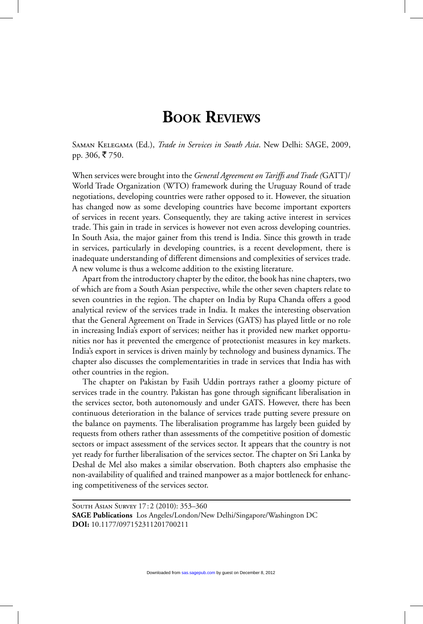## **BOOK REVIEWS**

Saman Kelegama (Ed.), *Trade in Services in South Asia*. New Delhi: SAGE, 2009, pp. 306, ₹750.

When services were brought into the *General Agreement on Tariffs and Trade (*GATT)/ World Trade Organization (WTO) framework during the Uruguay Round of trade negotiations, developing countries were rather opposed to it. However, the situation has changed now as some developing countries have become important exporters of services in recent years. Consequently, they are taking active interest in services trade. This gain in trade in services is however not even across developing countries. In South Asia, the major gainer from this trend is India. Since this growth in trade in services, particularly in developing countries, is a recent development, there is inadequate understanding of different dimensions and complexities of services trade. A new volume is thus a welcome addition to the existing literature.

Apart from the introductory chapter by the editor, the book has nine chapters, two of which are from a South Asian perspective, while the other seven chapters relate to seven countries in the region. The chapter on India by Rupa Chanda offers a good analytical review of the services trade in India. It makes the interesting observation that the General Agreement on Trade in Services (GATS) has played little or no role in increasing India's export of services; neither has it provided new market opportunities nor has it prevented the emergence of protectionist measures in key markets. India's export in services is driven mainly by technology and business dynamics. The chapter also discusses the complementarities in trade in services that India has with other countries in the region.

The chapter on Pakistan by Fasih Uddin portrays rather a gloomy picture of services trade in the country. Pakistan has gone through significant liberalisation in the services sector, both autonomously and under GATS. However, there has been continuous deterioration in the balance of services trade putting severe pressure on the balance on payments. The liberalisation programme has largely been guided by requests from others rather than assessments of the competitive position of domestic sectors or impact assessment of the services sector. It appears that the country is not yet ready for further liberalisation of the services sector. The chapter on Sri Lanka by Deshal de Mel also makes a similar observation. Both chapters also emphasise the non-availability of qualified and trained manpower as a major bottleneck for enhancing competitiveness of the services sector.

South Asian Survey 17 : 2 (2010): 353–360 **SAGE Publications** Los Angeles/London/New Delhi/Singapore/Washington DC **DOI:** 10.1177/097152311201700211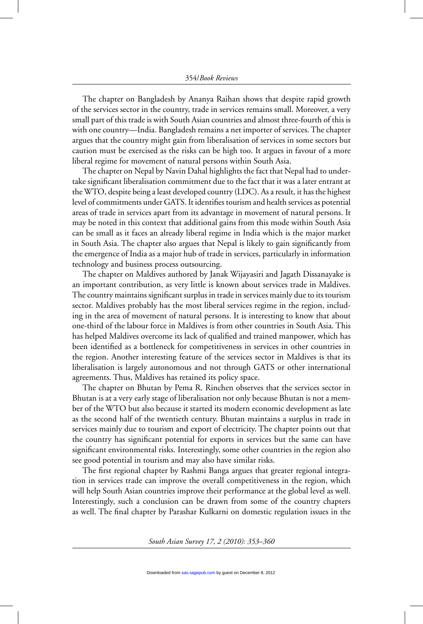The chapter on Bangladesh by Ananya Raihan shows that despite rapid growth of the services sector in the country, trade in services remains small. Moreover, a very small part of this trade is with South Asian countries and almost three-fourth of this is with one country—India. Bangladesh remains a net importer of services. The chapter argues that the country might gain from liberalisation of services in some sectors but caution must be exercised as the risks can be high too. It argues in favour of a more liberal regime for movement of natural persons within South Asia.

The chapter on Nepal by Navin Dahal highlights the fact that Nepal had to undertake significant liberalisation commitment due to the fact that it was a later entrant at the WTO, despite being a least developed country (LDC). As a result, it has the highest level of commitments under GATS. It identifies tourism and health services as potential areas of trade in services apart from its advantage in movement of natural persons. It may be noted in this context that additional gains from this mode within South Asia can be small as it faces an already liberal regime in India which is the major market in South Asia. The chapter also argues that Nepal is likely to gain significantly from the emergence of India as a major hub of trade in services, particularly in information technology and business process outsourcing.

The chapter on Maldives authored by Janak Wijayasiri and Jagath Dissanayake is an important contribution, as very little is known about services trade in Maldives. The country maintains significant surplus in trade in services mainly due to its tourism sector. Maldives probably has the most liberal services regime in the region, including in the area of movement of natural persons. It is interesting to know that about one-third of the labour force in Maldives is from other countries in South Asia. This has helped Maldives overcome its lack of qualified and trained manpower, which has been identified as a bottleneck for competitiveness in services in other countries in the region. Another interesting feature of the services sector in Maldives is that its liberalisation is largely autonomous and not through GATS or other international agreements. Thus, Maldives has retained its policy space.

The chapter on Bhutan by Pema R. Rinchen observes that the services sector in Bhutan is at a very early stage of liberalisation not only because Bhutan is not a member of the WTO but also because it started its modern economic development as late as the second half of the twentieth century. Bhutan maintains a surplus in trade in services mainly due to tourism and export of electricity. The chapter points out that the country has significant potential for exports in services but the same can have significant environmental risks. Interestingly, some other countries in the region also see good potential in tourism and may also have similar risks.

The first regional chapter by Rashmi Banga argues that greater regional integration in services trade can improve the overall competitiveness in the region, which will help South Asian countries improve their performance at the global level as well. Interestingly, such a conclusion can be drawn from some of the country chapters as well. The final chapter by Parashar Kulkarni on domestic regulation issues in the

*South Asian Survey 17, 2 (2010): 353–360*